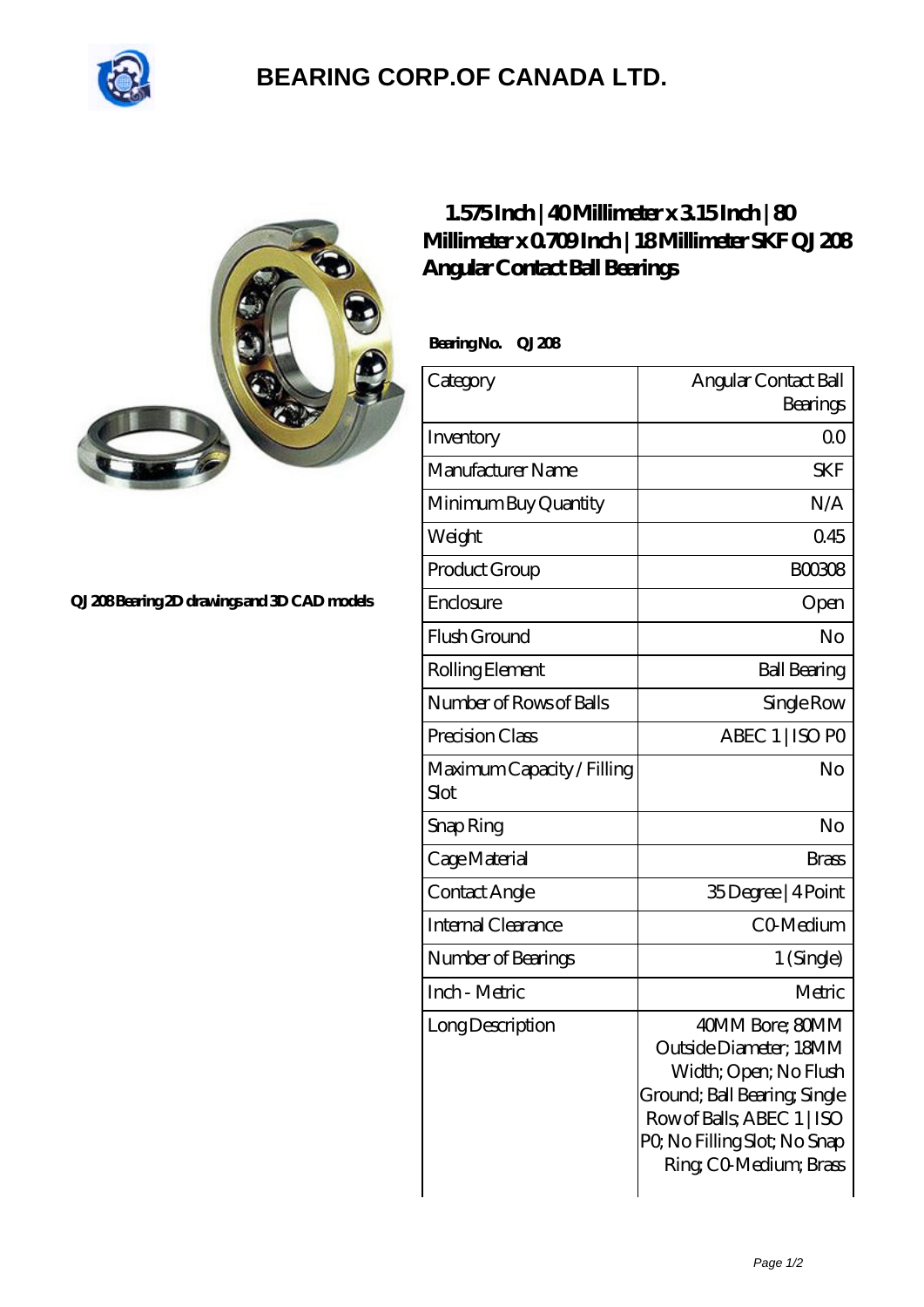

## **[BEARING CORP.OF CANADA LTD.](https://m.2sintermetalltechnik.de)**



## **[QJ 208 Bearing 2D drawings and 3D CAD models](https://m.2sintermetalltechnik.de/pic-259703.html)**

## **[1.575 Inch | 40 Millimeter x 3.15 Inch | 80](https://m.2sintermetalltechnik.de/at-259703-skf-qj-208-angular-contact-ball-bearings.html) [Millimeter x 0.709 Inch | 18 Millimeter SKF QJ 208](https://m.2sintermetalltechnik.de/at-259703-skf-qj-208-angular-contact-ball-bearings.html) [Angular Contact Ball Bearings](https://m.2sintermetalltechnik.de/at-259703-skf-qj-208-angular-contact-ball-bearings.html)**

Bearing No. QJ 208

| Category                           | Angular Contact Ball<br>Bearings                                                                                                                                                         |
|------------------------------------|------------------------------------------------------------------------------------------------------------------------------------------------------------------------------------------|
| Inventory                          | 0 <sup>0</sup>                                                                                                                                                                           |
| Manufacturer Name                  | SKF                                                                                                                                                                                      |
| Minimum Buy Quantity               | N/A                                                                                                                                                                                      |
| Weight                             | 045                                                                                                                                                                                      |
| Product Group                      | <b>BOO308</b>                                                                                                                                                                            |
| Enclosure                          | Open                                                                                                                                                                                     |
| Flush Ground                       | No                                                                                                                                                                                       |
| Rolling Element                    | <b>Ball Bearing</b>                                                                                                                                                                      |
| Number of Rows of Balls            | Single Row                                                                                                                                                                               |
| Precision Class                    | ABEC 1   ISO PO                                                                                                                                                                          |
| Maximum Capacity / Filling<br>Slot | No                                                                                                                                                                                       |
| Snap Ring                          | No                                                                                                                                                                                       |
| Cage Material                      | <b>Brass</b>                                                                                                                                                                             |
| Contact Angle                      | 35Degree   4Point                                                                                                                                                                        |
| Internal Clearance                 | CO-Medium                                                                                                                                                                                |
| Number of Bearings                 | 1 (Single)                                                                                                                                                                               |
| Inch - Metric                      | Metric                                                                                                                                                                                   |
| Long Description                   | 40MM Bore; 80MM<br>Outside Diameter: 18MM<br>Width; Open; No Flush<br>Ground; Ball Bearing, Single<br>Row of Balls, ABEC 1   ISO<br>PQ No Filling Slot; No Snap<br>Ring CO Medium; Brass |